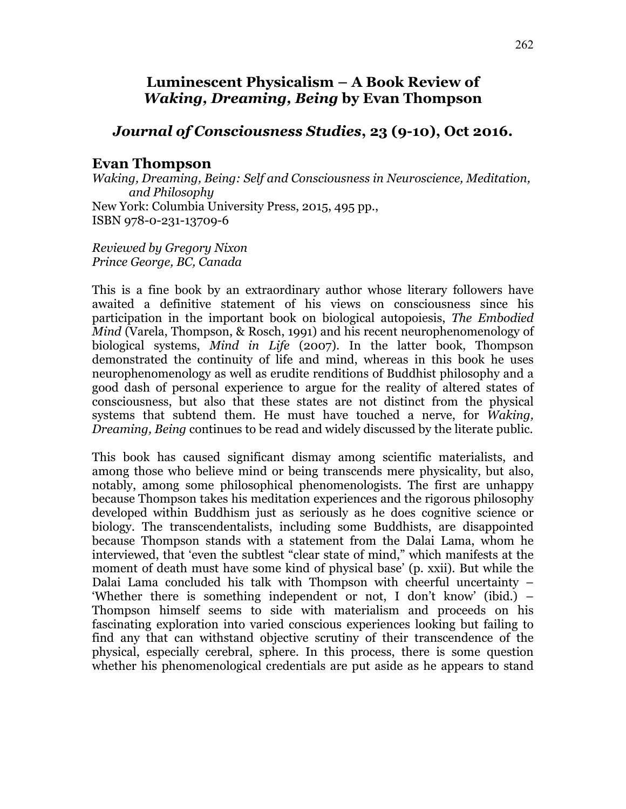## **Luminescent Physicalism – A Book Review of**  *Waking, Dreaming, Being* **by Evan Thompson**

## *Journal of Consciousness Studies***, 23 (9-10), Oct 2016.**

## **Evan Thompson**

*Waking, Dreaming, Being: Self and Consciousness in Neuroscience, Meditation, and Philosophy* New York: Columbia University Press, 2015, 495 pp., ISBN 978-0-231-13709-6

*Reviewed by Gregory Nixon Prince George, BC, Canada*

This is a fine book by an extraordinary author whose literary followers have awaited a definitive statement of his views on consciousness since his participation in the important book on biological autopoiesis, *The Embodied Mind* (Varela, Thompson, & Rosch, 1991) and his recent neurophenomenology of biological systems, *Mind in Life* (2007). In the latter book, Thompson demonstrated the continuity of life and mind, whereas in this book he uses neurophenomenology as well as erudite renditions of Buddhist philosophy and a good dash of personal experience to argue for the reality of altered states of consciousness, but also that these states are not distinct from the physical systems that subtend them. He must have touched a nerve, for *Waking, Dreaming, Being* continues to be read and widely discussed by the literate public.

This book has caused significant dismay among scientific materialists, and among those who believe mind or being transcends mere physicality, but also, notably, among some philosophical phenomenologists. The first are unhappy because Thompson takes his meditation experiences and the rigorous philosophy developed within Buddhism just as seriously as he does cognitive science or biology. The transcendentalists, including some Buddhists, are disappointed because Thompson stands with a statement from the Dalai Lama, whom he interviewed, that 'even the subtlest "clear state of mind," which manifests at the moment of death must have some kind of physical base' (p. xxii). But while the Dalai Lama concluded his talk with Thompson with cheerful uncertainty – 'Whether there is something independent or not, I don't know' (ibid.) – Thompson himself seems to side with materialism and proceeds on his fascinating exploration into varied conscious experiences looking but failing to find any that can withstand objective scrutiny of their transcendence of the physical, especially cerebral, sphere. In this process, there is some question whether his phenomenological credentials are put aside as he appears to stand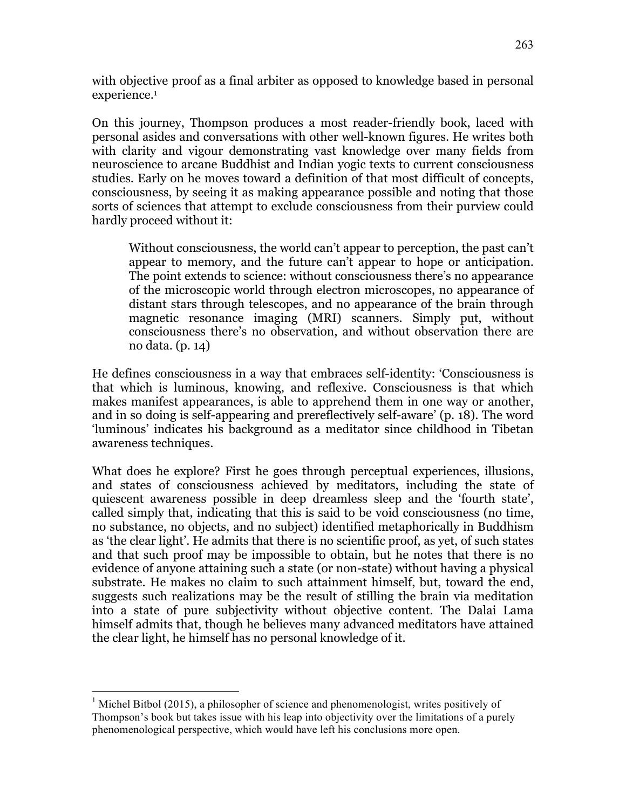with objective proof as a final arbiter as opposed to knowledge based in personal experience.<sup>1</sup>

On this journey, Thompson produces a most reader-friendly book, laced with personal asides and conversations with other well-known figures. He writes both with clarity and vigour demonstrating vast knowledge over many fields from neuroscience to arcane Buddhist and Indian yogic texts to current consciousness studies. Early on he moves toward a definition of that most difficult of concepts, consciousness, by seeing it as making appearance possible and noting that those sorts of sciences that attempt to exclude consciousness from their purview could hardly proceed without it:

Without consciousness, the world can't appear to perception, the past can't appear to memory, and the future can't appear to hope or anticipation. The point extends to science: without consciousness there's no appearance of the microscopic world through electron microscopes, no appearance of distant stars through telescopes, and no appearance of the brain through magnetic resonance imaging (MRI) scanners. Simply put, without consciousness there's no observation, and without observation there are no data. (p. 14)

He defines consciousness in a way that embraces self-identity: 'Consciousness is that which is luminous, knowing, and reflexive. Consciousness is that which makes manifest appearances, is able to apprehend them in one way or another, and in so doing is self-appearing and prereflectively self-aware' (p. 18). The word 'luminous' indicates his background as a meditator since childhood in Tibetan awareness techniques.

What does he explore? First he goes through perceptual experiences, illusions, and states of consciousness achieved by meditators, including the state of quiescent awareness possible in deep dreamless sleep and the 'fourth state', called simply that, indicating that this is said to be void consciousness (no time, no substance, no objects, and no subject) identified metaphorically in Buddhism as 'the clear light'. He admits that there is no scientific proof, as yet, of such states and that such proof may be impossible to obtain, but he notes that there is no evidence of anyone attaining such a state (or non-state) without having a physical substrate. He makes no claim to such attainment himself, but, toward the end, suggests such realizations may be the result of stilling the brain via meditation into a state of pure subjectivity without objective content. The Dalai Lama himself admits that, though he believes many advanced meditators have attained the clear light, he himself has no personal knowledge of it.

 $1$  Michel Bitbol (2015), a philosopher of science and phenomenologist, writes positively of Thompson's book but takes issue with his leap into objectivity over the limitations of a purely phenomenological perspective, which would have left his conclusions more open.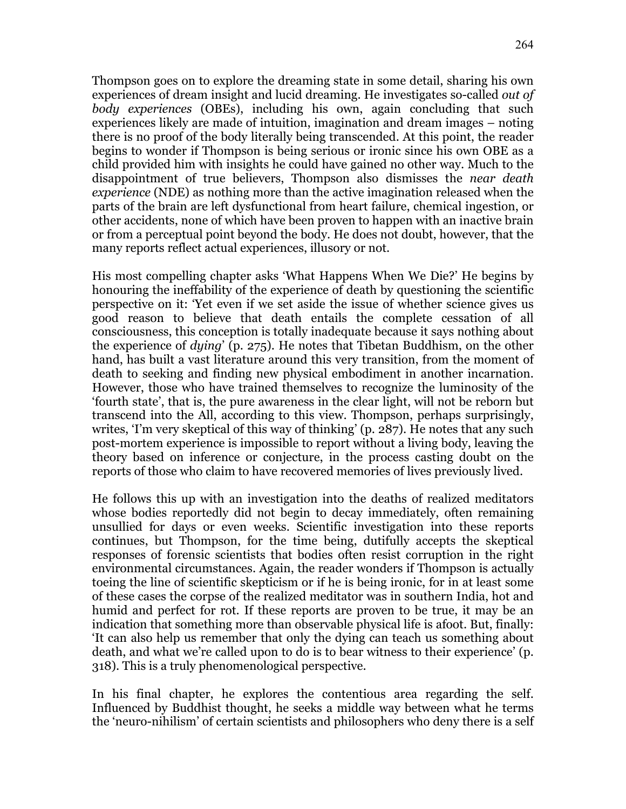Thompson goes on to explore the dreaming state in some detail, sharing his own experiences of dream insight and lucid dreaming. He investigates so-called *out of body experiences* (OBEs), including his own, again concluding that such experiences likely are made of intuition, imagination and dream images – noting there is no proof of the body literally being transcended. At this point, the reader begins to wonder if Thompson is being serious or ironic since his own OBE as a child provided him with insights he could have gained no other way. Much to the disappointment of true believers, Thompson also dismisses the *near death experience* (NDE) as nothing more than the active imagination released when the parts of the brain are left dysfunctional from heart failure, chemical ingestion, or other accidents, none of which have been proven to happen with an inactive brain or from a perceptual point beyond the body. He does not doubt, however, that the many reports reflect actual experiences, illusory or not.

His most compelling chapter asks 'What Happens When We Die?' He begins by honouring the ineffability of the experience of death by questioning the scientific perspective on it: 'Yet even if we set aside the issue of whether science gives us good reason to believe that death entails the complete cessation of all consciousness, this conception is totally inadequate because it says nothing about the experience of *dying*' (p. 275). He notes that Tibetan Buddhism, on the other hand, has built a vast literature around this very transition, from the moment of death to seeking and finding new physical embodiment in another incarnation. However, those who have trained themselves to recognize the luminosity of the 'fourth state', that is, the pure awareness in the clear light, will not be reborn but transcend into the All, according to this view. Thompson, perhaps surprisingly, writes, 'I'm very skeptical of this way of thinking' (p. 287). He notes that any such post-mortem experience is impossible to report without a living body, leaving the theory based on inference or conjecture, in the process casting doubt on the reports of those who claim to have recovered memories of lives previously lived.

He follows this up with an investigation into the deaths of realized meditators whose bodies reportedly did not begin to decay immediately, often remaining unsullied for days or even weeks. Scientific investigation into these reports continues, but Thompson, for the time being, dutifully accepts the skeptical responses of forensic scientists that bodies often resist corruption in the right environmental circumstances. Again, the reader wonders if Thompson is actually toeing the line of scientific skepticism or if he is being ironic, for in at least some of these cases the corpse of the realized meditator was in southern India, hot and humid and perfect for rot. If these reports are proven to be true, it may be an indication that something more than observable physical life is afoot. But, finally: 'It can also help us remember that only the dying can teach us something about death, and what we're called upon to do is to bear witness to their experience' (p. 318). This is a truly phenomenological perspective.

In his final chapter, he explores the contentious area regarding the self. Influenced by Buddhist thought, he seeks a middle way between what he terms the 'neuro-nihilism' of certain scientists and philosophers who deny there is a self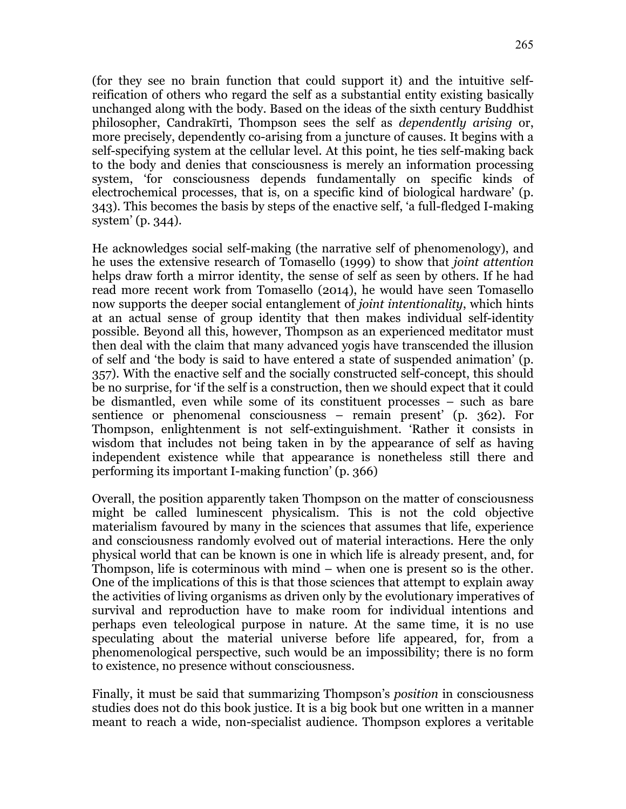(for they see no brain function that could support it) and the intuitive selfreification of others who regard the self as a substantial entity existing basically unchanged along with the body. Based on the ideas of the sixth century Buddhist philosopher, Candrakīrti, Thompson sees the self as *dependently arising* or, more precisely, dependently co-arising from a juncture of causes. It begins with a self-specifying system at the cellular level. At this point, he ties self-making back to the body and denies that consciousness is merely an information processing system, 'for consciousness depends fundamentally on specific kinds of electrochemical processes, that is, on a specific kind of biological hardware' (p. 343). This becomes the basis by steps of the enactive self, 'a full-fledged I-making system' (p. 344).

He acknowledges social self-making (the narrative self of phenomenology), and he uses the extensive research of Tomasello (1999) to show that *joint attention* helps draw forth a mirror identity, the sense of self as seen by others. If he had read more recent work from Tomasello (2014), he would have seen Tomasello now supports the deeper social entanglement of *joint intentionality*, which hints at an actual sense of group identity that then makes individual self-identity possible. Beyond all this, however, Thompson as an experienced meditator must then deal with the claim that many advanced yogis have transcended the illusion of self and 'the body is said to have entered a state of suspended animation' (p. 357). With the enactive self and the socially constructed self-concept, this should be no surprise, for 'if the self is a construction, then we should expect that it could be dismantled, even while some of its constituent processes – such as bare sentience or phenomenal consciousness – remain present' (p. 362). For Thompson, enlightenment is not self-extinguishment. 'Rather it consists in wisdom that includes not being taken in by the appearance of self as having independent existence while that appearance is nonetheless still there and performing its important I-making function' (p. 366)

Overall, the position apparently taken Thompson on the matter of consciousness might be called luminescent physicalism. This is not the cold objective materialism favoured by many in the sciences that assumes that life, experience and consciousness randomly evolved out of material interactions. Here the only physical world that can be known is one in which life is already present, and, for Thompson, life is coterminous with mind – when one is present so is the other. One of the implications of this is that those sciences that attempt to explain away the activities of living organisms as driven only by the evolutionary imperatives of survival and reproduction have to make room for individual intentions and perhaps even teleological purpose in nature. At the same time, it is no use speculating about the material universe before life appeared, for, from a phenomenological perspective, such would be an impossibility; there is no form to existence, no presence without consciousness.

Finally, it must be said that summarizing Thompson's *position* in consciousness studies does not do this book justice. It is a big book but one written in a manner meant to reach a wide, non-specialist audience. Thompson explores a veritable